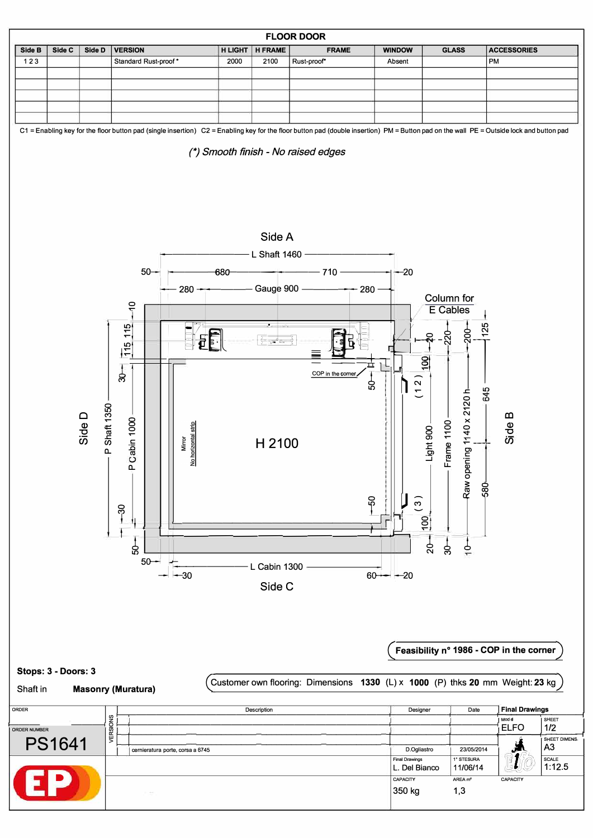